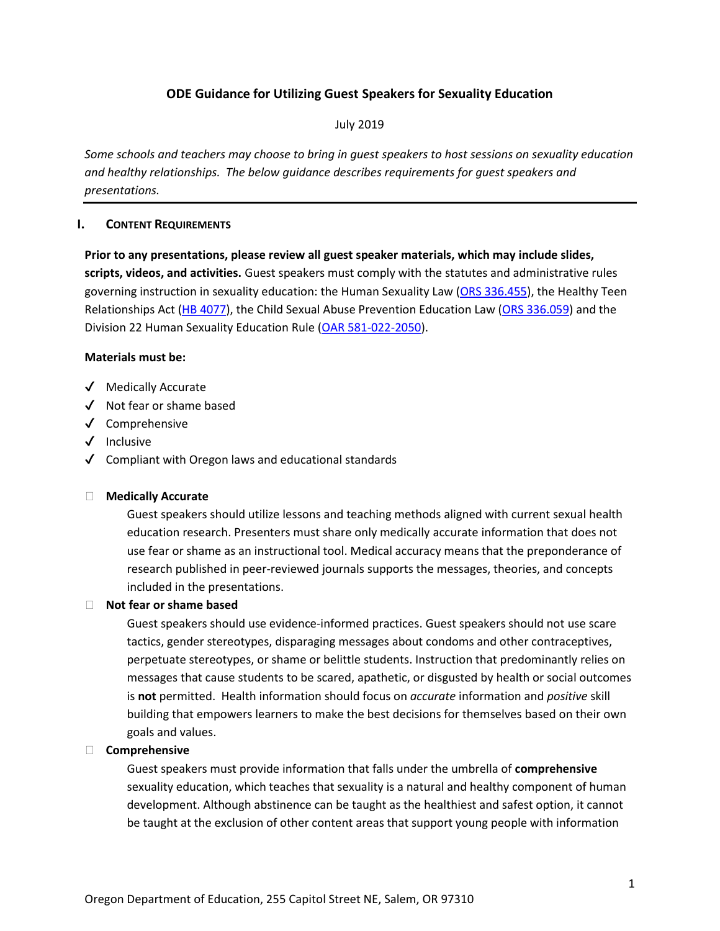# **ODE Guidance for Utilizing Guest Speakers for Sexuality Education**

## July 2019

*Some schools and teachers may choose to bring in guest speakers to host sessions on sexuality education and healthy relationships. The below guidance describes requirements for guest speakers and presentations.*

## **I. CONTENT REQUIREMENTS**

**Prior to any presentations, please review all guest speaker materials, which may include slides, scripts, videos, and activities.** Guest speakers must comply with the statutes and administrative rules governing instruction in sexuality education: the Human Sexuality Law [\(ORS 336.455\)](https://www.oregon.gov/ode/rules-and-policies/StateRules/Pages/HIV--AIDS-Law.aspx), the Healthy Teen Relationships Act [\(HB 4077\)](https://olis.leg.state.or.us/liz/2012R1/Downloads/MeasureDocument/HB4077/Introduced), the Child Sexual Abuse Prevention Education Law [\(ORS 336.059\)](https://www.oregonlaws.org/ors/336.059) and the Division 22 Human Sexuality Education Rule [\(OAR 581-022-2050\)](https://secure.sos.state.or.us/oard/viewSingleRule.action?ruleVrsnRsn=145221).

## **Materials must be:**

- ✔ Medically Accurate
- ✔ Not fear or shame based
- ✔ Comprehensive
- ✔ Inclusive
- $\sqrt{\phantom{a}}$  Compliant with Oregon laws and educational standards

#### ◻ **Medically Accurate**

Guest speakers should utilize lessons and teaching methods aligned with current sexual health education research. Presenters must share only medically accurate information that does not use fear or shame as an instructional tool. Medical accuracy means that the preponderance of research published in peer-reviewed journals supports the messages, theories, and concepts included in the presentations.

## ◻ **Not fear or shame based**

Guest speakers should use evidence-informed practices. Guest speakers should not use scare tactics, gender stereotypes, disparaging messages about condoms and other contraceptives, perpetuate stereotypes, or shame or belittle students. Instruction that predominantly relies on messages that cause students to be scared, apathetic, or disgusted by health or social outcomes is **not** permitted. Health information should focus on *accurate* information and *positive* skill building that empowers learners to make the best decisions for themselves based on their own goals and values.

#### ◻ **Comprehensive**

Guest speakers must provide information that falls under the umbrella of **comprehensive**  sexuality education, which teaches that sexuality is a natural and healthy component of human development. Although abstinence can be taught as the healthiest and safest option, it cannot be taught at the exclusion of other content areas that support young people with information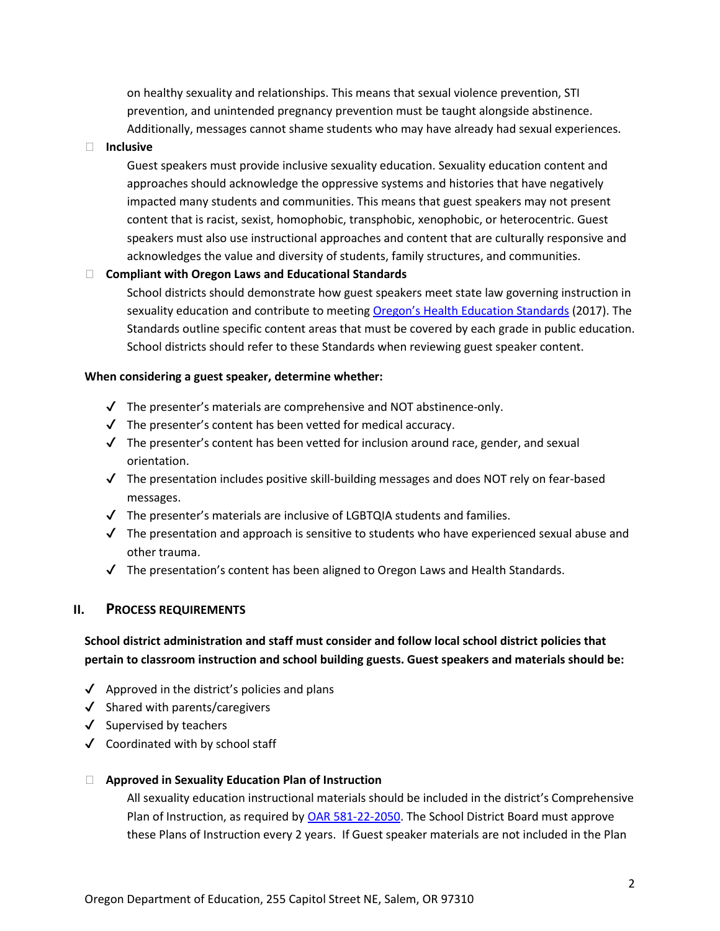on healthy sexuality and relationships. This means that sexual violence prevention, STI prevention, and unintended pregnancy prevention must be taught alongside abstinence. Additionally, messages cannot shame students who may have already had sexual experiences.

## ◻ **Inclusive**

Guest speakers must provide inclusive sexuality education. Sexuality education content and approaches should acknowledge the oppressive systems and histories that have negatively impacted many students and communities. This means that guest speakers may not present content that is racist, sexist, homophobic, transphobic, xenophobic, or heterocentric. Guest speakers must also use instructional approaches and content that are culturally responsive and acknowledges the value and diversity of students, family structures, and communities.

## ◻ **Compliant with Oregon Laws and Educational Standards**

School districts should demonstrate how guest speakers meet state law governing instruction in sexuality education and contribute to meeting Oregon's Health E[ducation Standards](https://www.oregon.gov/ode/educator-resources/standards/health/Pages/default.aspx) (2017). The Standards outline specific content areas that must be covered by each grade in public education. School districts should refer to these Standards when reviewing guest speaker content.

#### **When considering a guest speaker, determine whether:**

- $\checkmark$  The presenter's materials are comprehensive and NOT abstinence-only.
- $\checkmark$  The presenter's content has been vetted for medical accuracy.
- $\checkmark$  The presenter's content has been vetted for inclusion around race, gender, and sexual orientation.
- $\checkmark$  The presentation includes positive skill-building messages and does NOT rely on fear-based messages.
- ✔ The presenter's materials are inclusive of LGBTQIA students and families.
- $\checkmark$  The presentation and approach is sensitive to students who have experienced sexual abuse and other trauma.
- $\checkmark$  The presentation's content has been aligned to Oregon Laws and Health Standards.

## **II. PROCESS REQUIREMENTS**

# **School district administration and staff must consider and follow local school district policies that pertain to classroom instruction and school building guests. Guest speakers and materials should be:**

- $\sqrt{\phantom{a}}$  Approved in the district's policies and plans
- $\checkmark$  Shared with parents/caregivers
- ✔ Supervised by teachers
- ✔ Coordinated with by school staff

#### ◻ **Approved in Sexuality Education Plan of Instruction**

All sexuality education instructional materials should be included in the district's Comprehensive Plan of Instruction, as required b[y OAR 581-22-2050.](https://secure.sos.state.or.us/oard/viewSingleRule.action?ruleVrsnRsn=145221) The School District Board must approve these Plans of Instruction every 2 years. If Guest speaker materials are not included in the Plan